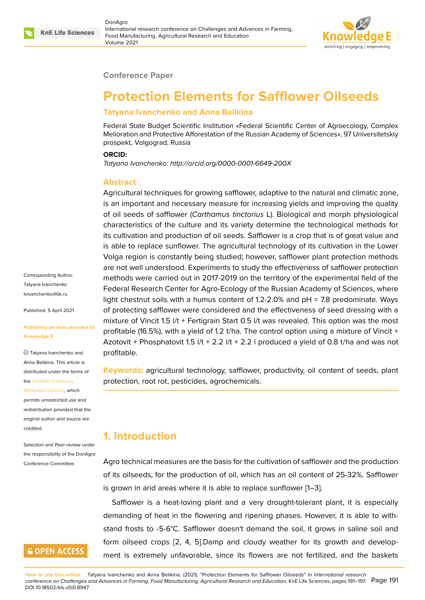

#### **Conference Paper**

# **Protection Elements for Safflower Oilseeds**

#### **Tatyana Ivanchenko and Anna Belikina**

Federal State Budget Scientific Institution «Federal Scientific Center of Agroecology, Complex Melioration and Protective Afforestation of the Russian Academy of Sciences», 97 Universitetskiy prospekt, Volgograd, Russia

#### **ORCID:**

*Tatyana Ivanchenko: http://orcid.org/0000-0001-6649-200X*

#### **Abstract**

Agricultural techniques for growing safflower, adaptive to the natural and climatic zone, is an important and necessary measure for increasing yields and improving the quality of oil seeds of safflower (*Carthamus tinctorius* L). Biological and morph physiological characteristics of the culture and its variety determine the technological methods for its cultivation and production of oil seeds. Safflower is a crop that is of great value and is able to replace sunflower. The agricultural technology of its cultivation in the Lower Volga region is constantly being studied; however, safflower plant protection methods are not well understood. Experiments to study the effectiveness of safflower protection methods were carried out in 2017-2019 on the territory of the experimental field of the Federal Research Center for Agro-Ecology of the Russian Academy of Sciences, where light chestnut soils with a humus content of 1.2-2.0% and pH = 7.8 predominate. Ways of protecting safflower were considered and the effectiveness of seed dressing with a mixture of Vincit 1.5 l/t + Fertigrain Start 0.5 l/t was revealed. This option was the most profitable (16.5%), with a yield of 1.2 t/ha. The control option using a mixture of Vincit + Azotovit + Phosphatovit 1.5  $1/t + 2.2$   $1/t + 2.2$  I produced a yield of 0.8 t/ha and was not profitable.

**Keywords:** agricultural technology, safflower, productivity, oil content of seeds, plant protection, root rot, pesticides, agrochemicals.

## **1. Introduction**

Agro technical measures are the basis for the cultivation of safflower and the production of its oilseeds, for the production of oil, which has an oil content of 25-32%. Safflower is grown in arid areas where it is able to replace sunflower [1–3].

Safflower is a heat-loving plant and a very drought-tolerant plant, it is especially demanding of heat in the flowering and ripening phases. However, it is able to withstand frosts to -5-6°C. Safflower doesn't demand the soil, [i](#page-5-0)t [g](#page-5-1)rows in saline soil and form oilseed crops [2, 4, 5].Damp and cloudy weather for its growth and development is extremely unfavorable, since its flowers are not fertilized, and the baskets

Corresponding Author: Tatyana Ivanchenko tvivanchenko@bk.ru

Published: 5 April 2021

#### **[Publishing services](mailto:tvivanchenko@bk.ru) provided by Knowledge E**

Tatyana Ivanchenko and Anna Belikina. This article is distributed under the terms of the Creative Commons

Attribution License, which permits unrestricted use and redistribution provided that the orig[inal author and sou](https://creativecommons.org/licenses/by/4.0/)rce are [credited.](https://creativecommons.org/licenses/by/4.0/)

Selection and Peer-review under the responsibility of the DonAgro Conference Committee.

# **GOPEN ACCESS**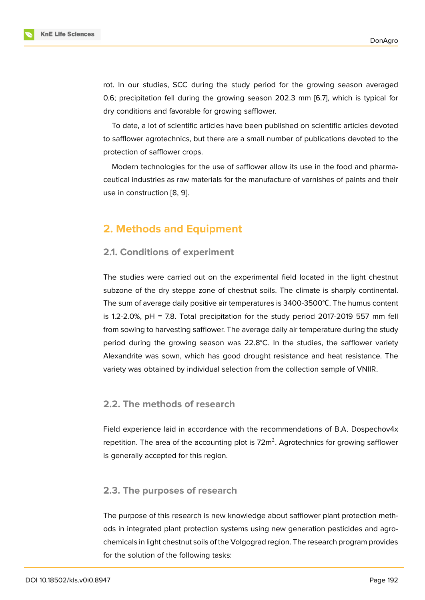rot. In our studies, SCC during the study period for the growing season averaged 0.6; precipitation fell during the growing season 202.3 mm [6.7], which is typical for dry conditions and favorable for growing safflower.

To date, a lot of scientific articles have been published on scientific articles devoted to safflower agrotechnics, but there are a small number of publications devoted to the protection of safflower crops.

Modern technologies for the use of safflower allow its use in the food and pharmaceutical industries as raw materials for the manufacture of varnishes of paints and their use in construction [8, 9].

## **2. Methods a[n](#page-6-0)[d](#page-6-1) Equipment**

#### **2.1. Conditions of experiment**

The studies were carried out on the experimental field located in the light chestnut subzone of the dry steppe zone of chestnut soils. The climate is sharply continental. The sum of average daily positive air temperatures is 3400-3500°С. The humus content is 1.2-2.0%, pH = 7.8. Total precipitation for the study period 2017-2019 557 mm fell from sowing to harvesting safflower. The average daily air temperature during the study period during the growing season was 22.8°C. In the studies, the safflower variety Alexandrite was sown, which has good drought resistance and heat resistance. The variety was obtained by individual selection from the collection sample of VNIIR.

### **2.2. The methods of research**

Field experience laid in accordance with the recommendations of B.A. Dospechov4x repetition. The area of the accounting plot is 72 $\mathrm{m}^2$ . Agrotechnics for growing safflower is generally accepted for this region.

### **2.3. The purposes of research**

The purpose of this research is new knowledge about safflower plant protection methods in integrated plant protection systems using new generation pesticides and agrochemicals in light chestnut soils of the Volgograd region. The research program provides for the solution of the following tasks: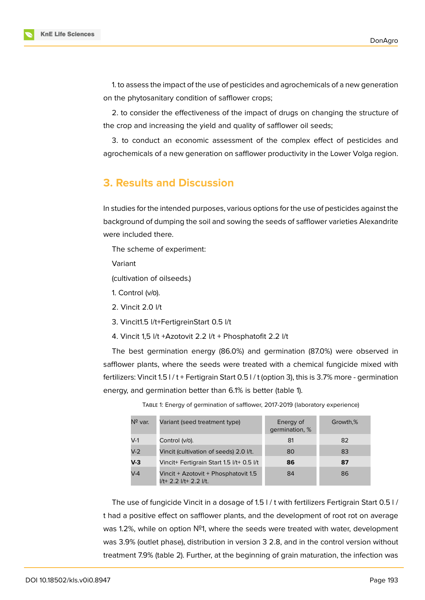1. to assess the impact of the use of pesticides and agrochemicals of a new generation on the phytosanitary condition of safflower crops;

2. to consider the effectiveness of the impact of drugs on changing the structure of the crop and increasing the yield and quality of safflower oil seeds;

3. to conduct an economic assessment of the complex effect of pesticides and agrochemicals of a new generation on safflower productivity in the Lower Volga region.

### **3. Results and Discussion**

In studies for the intended purposes, various options for the use of pesticides against the background of dumping the soil and sowing the seeds of safflower varieties Alexandrite were included there.

The scheme of experiment:

Variant

(cultivation of oilseeds.)

- 1. Control (v/о).
- 2. Vincit 2.0 l/t
- 3. Vincit1.5 l/t+FertigreinStart 0.5 l/t
- 4. Vincit 1,5 l/t +Azotovit 2.2 l/t + Phosphatofit 2.2 l/t

The best germination energy (86.0%) and germination (87.0%) were observed in safflower plants, where the seeds were treated with a chemical fungicide mixed with fertilizers: Vincit 1.5 l / t + Fertigrain Start 0.5 l / t (option 3), this is 3.7% more - germination energy, and germination better than 6.1% is better (table 1).

| Nº var. | Variant (seed treatment type)                                  | Energy of<br>germination, % | Growth,% |
|---------|----------------------------------------------------------------|-----------------------------|----------|
| $V-1$   | Control (v/o).                                                 | 81                          | 82       |
| $V-2$   | Vincit (cultivation of seeds) 2.0 I/t.                         | 80                          | 83       |
| $V-3$   | Vincit+ Fertigrain Start 1.5 l/t+ 0.5 l/t                      | 86                          | 87       |
| $V-4$   | Vincit + Azotovit + Phosphatovit 1.5<br>I/t+ 2.2 I/t+ 2.2 I/t. | 84                          | 86       |

TABLE 1: Energy of germination of safflower, 2017-2019 (laboratory experience)

The use of fungicide Vincit in a dosage of 1.5 l / t with fertilizers Fertigrain Start 0.5 l / t had a positive effect on safflower plants, and the development of root rot on average was 1.2%, while on option Nº1, where the seeds were treated with water, development was 3.9% (outlet phase), distribution in version 3 2.8, and in the control version without treatment 7.9% (table 2). Further, at the beginning of grain maturation, the infection was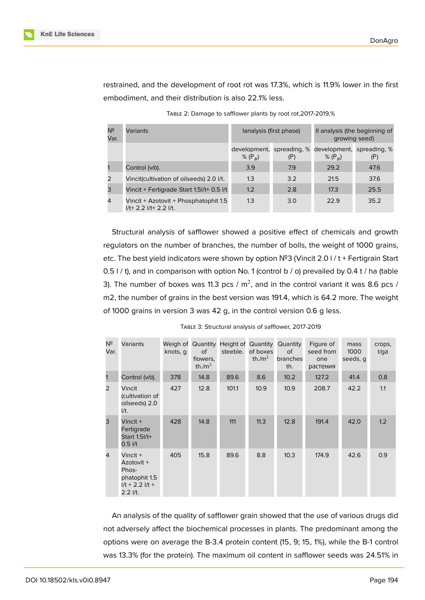

restrained, and the development of root rot was 17.3%, which is 11.9% lower in the first embodiment, and their distribution is also 22.1% less.

| Nº<br>Var.     | Variants                                                               |           | lanalysis (first phase) | Il analysis (the beginning of<br>growing seed)                   |      |  |
|----------------|------------------------------------------------------------------------|-----------|-------------------------|------------------------------------------------------------------|------|--|
|                |                                                                        | % $(P_B)$ | (P)                     | development, spreading, % development, spreading, %<br>% $(P_R)$ |      |  |
|                | Control (v/0).                                                         | 3.9       | 7.9                     | 29.2                                                             | 47.6 |  |
| 2              | Vincit(cultivation of oilseeds) 2.0 I/t.                               | 1.3       | 3.2                     | 21.5                                                             | 37.6 |  |
| 3              | Vincit + Fertigrade Start 1.5l/t+ 0.5 l/t                              | 1.2       | 2.8                     | 17.3                                                             | 25.5 |  |
| $\overline{4}$ | Vincit + Azotovit + Phosphatophit 1.5<br>$1/t+ 2.2$ $1/t+ 2.2$ $1/t$ . | 1.3       | 3.0                     | 22.9                                                             | 35.2 |  |

TABLE 2: Damage to safflower plants by root rot,2017-2019,%

Structural analysis of safflower showed a positive effect of chemicals and growth regulators on the number of branches, the number of bolls, the weight of 1000 grains, etc. The best yield indicators were shown by option №3 (Vincit 2.0 l / t + Fertigrain Start 0.5 l / t), and in comparison with option No. 1 (control b / o) prevailed by 0.4 t / ha (table 3). The number of boxes was 11.3 pcs / m<sup>2</sup>, and in the control variant it was 8.6 pcs / m2, the number of grains in the best version was 191.4, which is 64.2 more. The weight of 1000 grains in version 3 was 42 g, in the control version 0.6 g less.

| Nº<br>Var. | Variants                                                                               | knots, q | <b>of</b><br>flowers,<br>th./ $m^2$ | steeble. | of boxes<br>th./ $m^2$ | Weigh of Quantity Height of Quantity Quantity<br><b>of</b><br>branches<br>th. | Figure of<br>seed from<br>one<br>растения | mass<br>1000<br>seeds, q | crops,<br>t/ga |
|------------|----------------------------------------------------------------------------------------|----------|-------------------------------------|----------|------------------------|-------------------------------------------------------------------------------|-------------------------------------------|--------------------------|----------------|
| 1          | Control (v/0).                                                                         | 378      | 14.8                                | 89.6     | 8.6                    | 10.2                                                                          | 127.2                                     | 41.4                     | 0.8            |
| 2          | Vincit<br>(cultivation of<br>oilseeds) 2.0<br>$1/t$ .                                  | 427      | 12.8                                | 101.1    | 10.9                   | 10.9 <sub>2</sub>                                                             | 208.7                                     | 42.2                     | 1.1            |
| 3          | Vincit $+$<br>Fertigrade<br>Start 1.51/t+<br>$0.5$ $1/t$                               | 428      | 14.8                                | 111      | 11.3                   | 12.8                                                                          | 191.4                                     | 42.0                     | 1.2            |
| 4          | Vincit $+$<br>Azotovit +<br>Phos-<br>phatophit 1.5<br>$1/t + 2.21/t +$<br>$2.2$ $1/t.$ | 405      | 15.8                                | 89.6     | 8.8                    | 10.3                                                                          | 174.9                                     | 42.6                     | 0.9            |

TABLE 3: Structural analysis of safflower, 2017-2019

An analysis of the quality of safflower grain showed that the use of various drugs did not adversely affect the biochemical processes in plants. The predominant among the options were on average the B-3.4 protein content (15, 9; 15, 1%), while the B-1 control was 13.3% (for the protein). The maximum oil content in safflower seeds was 24.51% in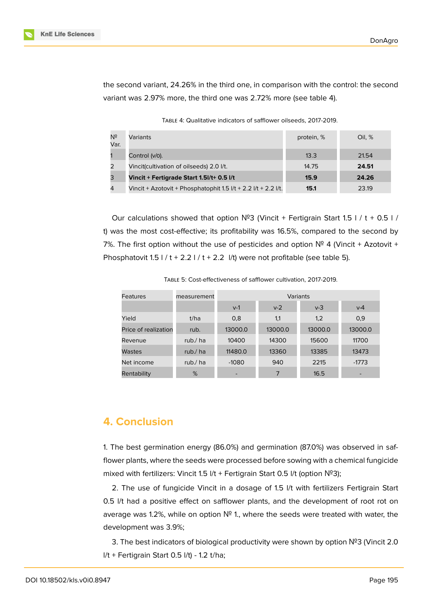

the second variant, 24.26% in the third one, in comparison with the control: the second variant was 2.97% more, the third one was 2.72% more (see table 4).

TABLE 4: Qualitative indicators of safflower oilseeds, 2017-2019.

| Nº<br>Var. | Variants                                                                | protein, % | Oil. % |
|------------|-------------------------------------------------------------------------|------------|--------|
|            | Control (v/0).                                                          | 13.3       | 21.54  |
| 2          | Vincit(cultivation of oilseeds) 2.0 l/t.                                | 14.75      | 24.51  |
| 3          | Vincit + Fertigrade Start 1.5I/t+ 0.5 I/t                               | 15.9       | 24.26  |
| 4          | Vincit + Azotovit + Phosphatophit $1.5$ $1/t + 2.2$ $1/t + 2.2$ $1/t$ . | 15.1       | 23.19  |

Our calculations showed that option  $N^2$ 3 (Vincit + Fertigrain Start 1.5 l / t + 0.5 l / t) was the most cost-effective; its profitability was 16.5%, compared to the second by 7%. The first option without the use of pesticides and option  $N^2$  4 (Vincit + Azotovit + Phosphatovit  $1.5$  l / t + 2.2 l / t + 2.2 l/t) were not profitable (see table 5).

| TABLE 5: Cost-effectiveness of safflower cultivation, 2017-2019. |
|------------------------------------------------------------------|
|                                                                  |

| Features             | measurement | Variants |         |         |         |  |
|----------------------|-------------|----------|---------|---------|---------|--|
|                      |             | $V-1$    | $v-2$   | $v-3$   | $V-4$   |  |
| Yield                | t/ha        | 0,8      | 1,1     | 1,2     | 0,9     |  |
| Price of realization | rub.        | 13000.0  | 13000.0 | 13000.0 | 13000.0 |  |
| Revenue              | rub./ ha    | 10400    | 14300   | 15600   | 11700   |  |
| Wastes               | rub./ ha    | 11480.0  | 13360   | 13385   | 13473   |  |
| Net income           | rub./ ha    | $-1080$  | 940     | 2215    | $-1773$ |  |
| Rentability          | %           |          |         | 16.5    |         |  |

# **4. Conclusion**

1. The best germination energy (86.0%) and germination (87.0%) was observed in safflower plants, where the seeds were processed before sowing with a chemical fungicide mixed with fertilizers: Vincit 1.5 l/t + Fertigrain Start 0.5 l/t (option №3);

2. The use of fungicide Vincit in a dosage of 1.5 l/t with fertilizers Fertigrain Start 0.5 l/t had a positive effect on safflower plants, and the development of root rot on average was 1.2%, while on option № 1., where the seeds were treated with water, the development was 3.9%;

3. The best indicators of biological productivity were shown by option №3 (Vincit 2.0  $I/t$  + Fertigrain Start 0.5  $I/t$ ) - 1.2 t/ha;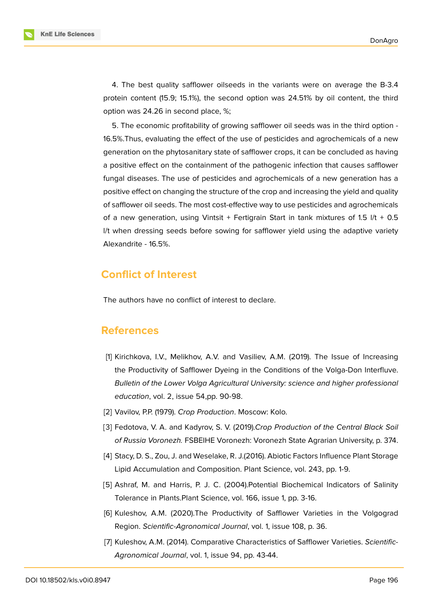**KnE Life Sciences** 

4. The best quality safflower oilseeds in the variants were on average the B-3.4 protein content (15.9; 15.1%), the second option was 24.51% by oil content, the third option was 24.26 in second place, %;

5. The economic profitability of growing safflower oil seeds was in the third option - 16.5%.Thus, evaluating the effect of the use of pesticides and agrochemicals of a new generation on the phytosanitary state of safflower crops, it can be concluded as having a positive effect on the containment of the pathogenic infection that causes safflower fungal diseases. The use of pesticides and agrochemicals of a new generation has a positive effect on changing the structure of the crop and increasing the yield and quality of safflower oil seeds. The most cost-effective way to use pesticides and agrochemicals of a new generation, using Vintsit + Fertigrain Start in tank mixtures of 1.5 l/t + 0.5 l/t when dressing seeds before sowing for safflower yield using the adaptive variety Alexandrite - 16.5%.

# **Conflict of Interest**

The authors have no conflict of interest to declare.

### **References**

- <span id="page-5-0"></span>[1] Kirichkova, I.V., Melikhov, A.V. and Vasiliev, A.M. (2019). The Issue of Increasing the Productivity of Safflower Dyeing in the Conditions of the Volga-Don Interfluve. *Bulletin of the Lower Volga Agricultural University: science and higher professional education*, vol. 2, issue 54,pp. 90-98.
- <span id="page-5-2"></span>[2] Vavilov, P.P. (1979). *Crop Production*. Moscow: Kolo.
- <span id="page-5-1"></span>[3] Fedotova, V. A. and Kadyrov, S. V. (2019).*Crop Production of the Central Black Soil of Russia Voronezh.* FSBEIHE Voronezh: Voronezh State Agrarian University, p. 374.
- <span id="page-5-3"></span>[4] Stacy, D. S., Zou, J. and Weselake, R. J.(2016). Abiotic Factors Influence Plant Storage Lipid Accumulation and Composition. Plant Science, vol. 243, pp. 1-9.
- <span id="page-5-4"></span>[5] Ashraf, M. and Harris, P. J. C. (2004). Potential Biochemical Indicators of Salinity Tolerance in Plants.Plant Science, vol. 166, issue 1, pp. 3-16.
- [6] Kuleshov, A.M. (2020).The Productivity of Safflower Varieties in the Volgograd Region. *Scientific-Agronomical Journal*, vol. 1, issue 108, p. 36.
- [7] Kuleshov, A.M. (2014). Comparative Characteristics of Safflower Varieties. *Scientific-Agronomical Journal*, vol. 1, issue 94, pp. 43-44.